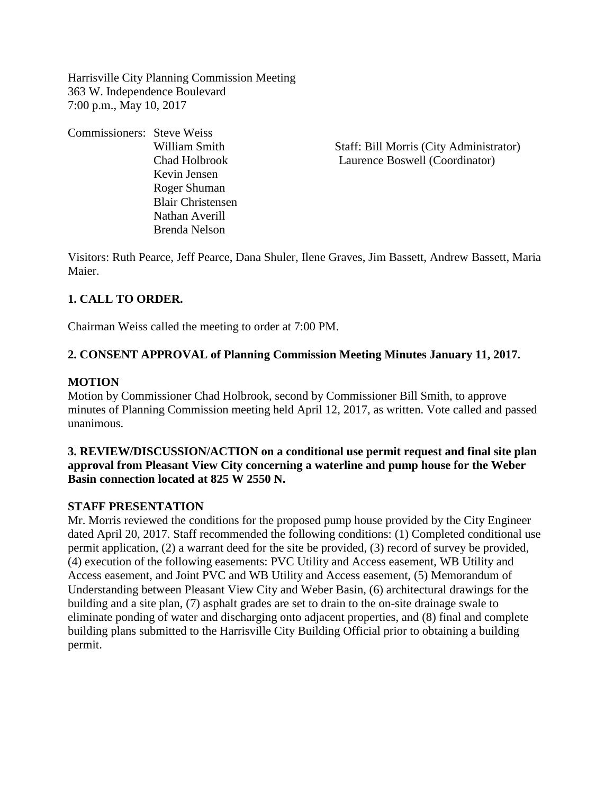Harrisville City Planning Commission Meeting 363 W. Independence Boulevard 7:00 p.m., May 10, 2017

Commissioners: Steve Weiss Kevin Jensen Roger Shuman Blair Christensen Nathan Averill Brenda Nelson

William Smith Staff: Bill Morris (City Administrator) Chad Holbrook Laurence Boswell (Coordinator)

Visitors: Ruth Pearce, Jeff Pearce, Dana Shuler, Ilene Graves, Jim Bassett, Andrew Bassett, Maria Maier.

## **1. CALL TO ORDER.**

Chairman Weiss called the meeting to order at 7:00 PM.

### **2. CONSENT APPROVAL of Planning Commission Meeting Minutes January 11, 2017.**

#### **MOTION**

Motion by Commissioner Chad Holbrook, second by Commissioner Bill Smith, to approve minutes of Planning Commission meeting held April 12, 2017, as written. Vote called and passed unanimous.

## **3. REVIEW/DISCUSSION/ACTION on a conditional use permit request and final site plan approval from Pleasant View City concerning a waterline and pump house for the Weber Basin connection located at 825 W 2550 N.**

#### **STAFF PRESENTATION**

Mr. Morris reviewed the conditions for the proposed pump house provided by the City Engineer dated April 20, 2017. Staff recommended the following conditions: (1) Completed conditional use permit application, (2) a warrant deed for the site be provided, (3) record of survey be provided, (4) execution of the following easements: PVC Utility and Access easement, WB Utility and Access easement, and Joint PVC and WB Utility and Access easement, (5) Memorandum of Understanding between Pleasant View City and Weber Basin, (6) architectural drawings for the building and a site plan, (7) asphalt grades are set to drain to the on-site drainage swale to eliminate ponding of water and discharging onto adjacent properties, and (8) final and complete building plans submitted to the Harrisville City Building Official prior to obtaining a building permit.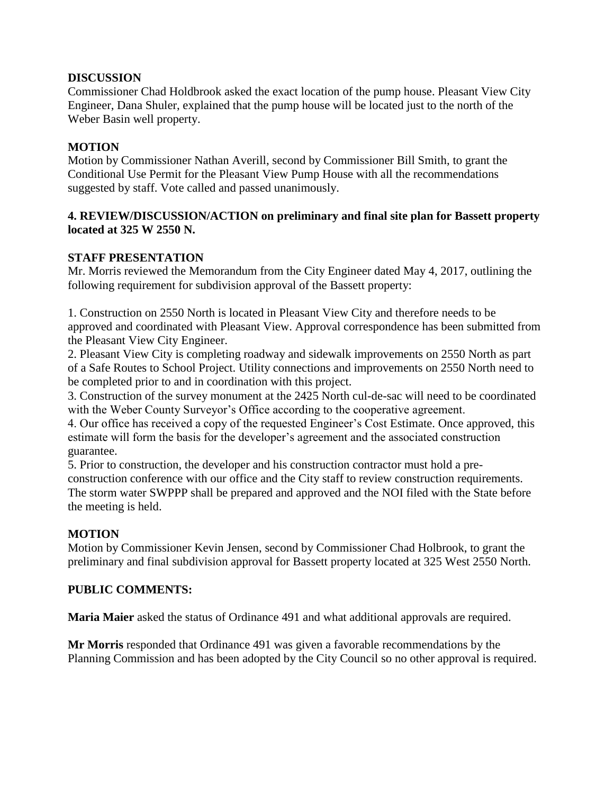## **DISCUSSION**

Commissioner Chad Holdbrook asked the exact location of the pump house. Pleasant View City Engineer, Dana Shuler, explained that the pump house will be located just to the north of the Weber Basin well property.

# **MOTION**

Motion by Commissioner Nathan Averill, second by Commissioner Bill Smith, to grant the Conditional Use Permit for the Pleasant View Pump House with all the recommendations suggested by staff. Vote called and passed unanimously.

## **4. REVIEW/DISCUSSION/ACTION on preliminary and final site plan for Bassett property located at 325 W 2550 N.**

# **STAFF PRESENTATION**

Mr. Morris reviewed the Memorandum from the City Engineer dated May 4, 2017, outlining the following requirement for subdivision approval of the Bassett property:

1. Construction on 2550 North is located in Pleasant View City and therefore needs to be approved and coordinated with Pleasant View. Approval correspondence has been submitted from the Pleasant View City Engineer.

2. Pleasant View City is completing roadway and sidewalk improvements on 2550 North as part of a Safe Routes to School Project. Utility connections and improvements on 2550 North need to be completed prior to and in coordination with this project.

3. Construction of the survey monument at the 2425 North cul-de-sac will need to be coordinated with the Weber County Surveyor's Office according to the cooperative agreement.

4. Our office has received a copy of the requested Engineer's Cost Estimate. Once approved, this estimate will form the basis for the developer's agreement and the associated construction guarantee.

5. Prior to construction, the developer and his construction contractor must hold a preconstruction conference with our office and the City staff to review construction requirements. The storm water SWPPP shall be prepared and approved and the NOI filed with the State before the meeting is held.

# **MOTION**

Motion by Commissioner Kevin Jensen, second by Commissioner Chad Holbrook, to grant the preliminary and final subdivision approval for Bassett property located at 325 West 2550 North.

# **PUBLIC COMMENTS:**

**Maria Maier** asked the status of Ordinance 491 and what additional approvals are required.

**Mr Morris** responded that Ordinance 491 was given a favorable recommendations by the Planning Commission and has been adopted by the City Council so no other approval is required.